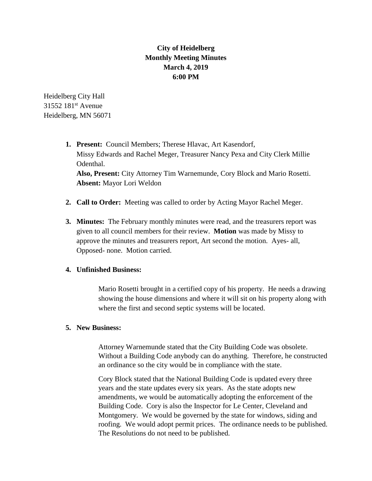## **City of Heidelberg Monthly Meeting Minutes March 4, 2019 6:00 PM**

Heidelberg City Hall 31552 181<sup>st</sup> Avenue Heidelberg, MN 56071

- **1. Present:** Council Members; Therese Hlavac, Art Kasendorf, Missy Edwards and Rachel Meger, Treasurer Nancy Pexa and City Clerk Millie Odenthal. **Also, Present:** City Attorney Tim Warnemunde, Cory Block and Mario Rosetti. **Absent:** Mayor Lori Weldon
- **2. Call to Order:** Meeting was called to order by Acting Mayor Rachel Meger.
- **3. Minutes:** The February monthly minutes were read, and the treasurers report was given to all council members for their review. **Motion** was made by Missy to approve the minutes and treasurers report, Art second the motion. Ayes- all, Opposed- none. Motion carried.

## **4. Unfinished Business:**

Mario Rosetti brought in a certified copy of his property. He needs a drawing showing the house dimensions and where it will sit on his property along with where the first and second septic systems will be located.

## **5. New Business:**

Attorney Warnemunde stated that the City Building Code was obsolete. Without a Building Code anybody can do anything. Therefore, he constructed an ordinance so the city would be in compliance with the state.

Cory Block stated that the National Building Code is updated every three years and the state updates every six years. As the state adopts new amendments, we would be automatically adopting the enforcement of the Building Code. Cory is also the Inspector for Le Center, Cleveland and Montgomery. We would be governed by the state for windows, siding and roofing. We would adopt permit prices. The ordinance needs to be published. The Resolutions do not need to be published.